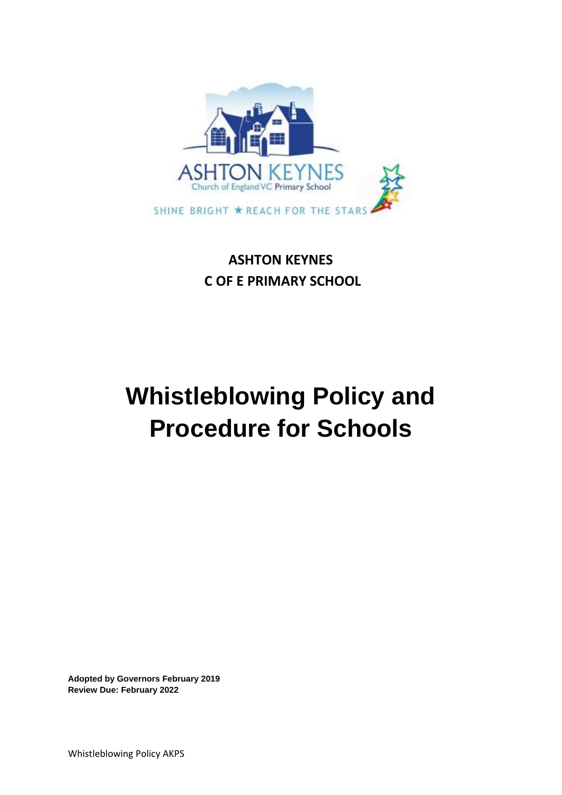

## **ASHTON KEYNES C OF E PRIMARY SCHOOL**

# **Whistleblowing Policy and Procedure for Schools**

**Adopted by Governors February 2019 Review Due: February 2022**

Whistleblowing Policy AKPS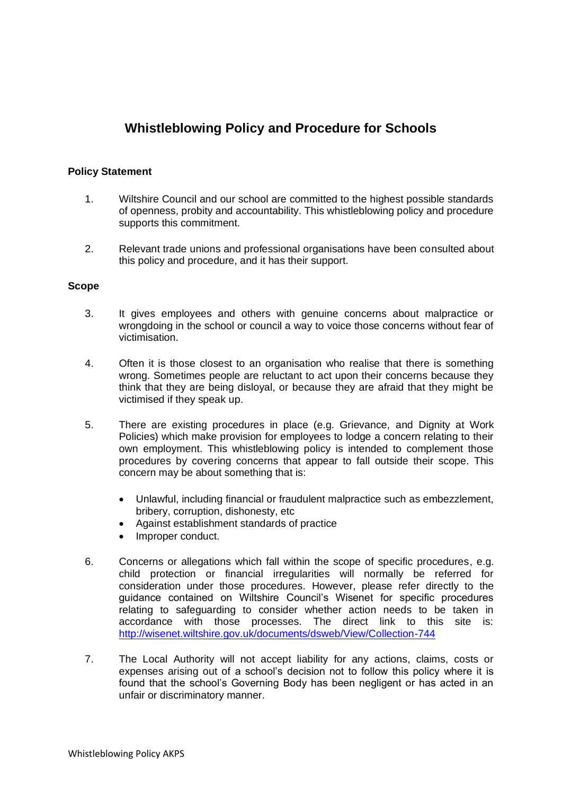### **Whistleblowing Policy and Procedure for Schools**

#### **Policy Statement**

- 1. Wiltshire Council and our school are committed to the highest possible standards of openness, probity and accountability. This whistleblowing policy and procedure supports this commitment.
- 2. Relevant trade unions and professional organisations have been consulted about this policy and procedure, and it has their support.

#### **Scope**

- 3. It gives employees and others with genuine concerns about malpractice or wrongdoing in the school or council a way to voice those concerns without fear of victimisation.
- 4. Often it is those closest to an organisation who realise that there is something wrong. Sometimes people are reluctant to act upon their concerns because they think that they are being disloyal, or because they are afraid that they might be victimised if they speak up.
- 5. There are existing procedures in place (e.g. Grievance, and Dignity at Work Policies) which make provision for employees to lodge a concern relating to their own employment. This whistleblowing policy is intended to complement those procedures by covering concerns that appear to fall outside their scope. This concern may be about something that is:
	- Unlawful, including financial or fraudulent malpractice such as embezzlement, bribery, corruption, dishonesty, etc
	- Against establishment standards of practice
	- Improper conduct.
- 6. Concerns or allegations which fall within the scope of specific procedures, e.g. child protection or financial irregularities will normally be referred for consideration under those procedures. However, please refer directly to the guidance contained on Wiltshire Council's Wisenet for specific procedures relating to safeguarding to consider whether action needs to be taken in accordance with those processes. The direct link to this site is: <http://wisenet.wiltshire.gov.uk/documents/dsweb/View/Collection-744>
- 7. The Local Authority will not accept liability for any actions, claims, costs or expenses arising out of a school's decision not to follow this policy where it is found that the school's Governing Body has been negligent or has acted in an unfair or discriminatory manner.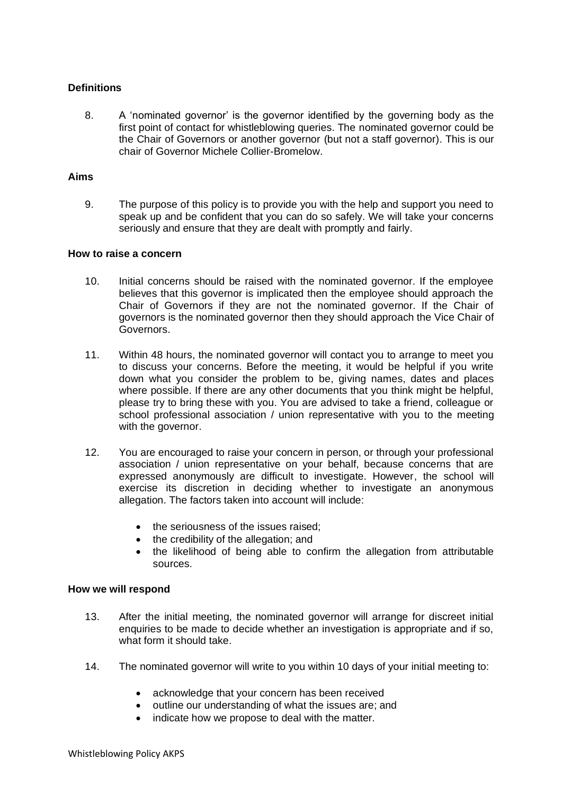#### **Definitions**

8. A 'nominated governor' is the governor identified by the governing body as the first point of contact for whistleblowing queries. The nominated governor could be the Chair of Governors or another governor (but not a staff governor). This is our chair of Governor Michele Collier-Bromelow.

#### **Aims**

9. The purpose of this policy is to provide you with the help and support you need to speak up and be confident that you can do so safely. We will take your concerns seriously and ensure that they are dealt with promptly and fairly.

#### **How to raise a concern**

- 10. Initial concerns should be raised with the nominated governor. If the employee believes that this governor is implicated then the employee should approach the Chair of Governors if they are not the nominated governor. If the Chair of governors is the nominated governor then they should approach the Vice Chair of Governors.
- 11. Within 48 hours, the nominated governor will contact you to arrange to meet you to discuss your concerns. Before the meeting, it would be helpful if you write down what you consider the problem to be, giving names, dates and places where possible. If there are any other documents that you think might be helpful, please try to bring these with you. You are advised to take a friend, colleague or school professional association / union representative with you to the meeting with the governor.
- 12. You are encouraged to raise your concern in person, or through your professional association / union representative on your behalf, because concerns that are expressed anonymously are difficult to investigate. However, the school will exercise its discretion in deciding whether to investigate an anonymous allegation. The factors taken into account will include:
	- the seriousness of the issues raised;
	- the credibility of the allegation; and
	- the likelihood of being able to confirm the allegation from attributable sources.

#### **How we will respond**

- 13. After the initial meeting, the nominated governor will arrange for discreet initial enquiries to be made to decide whether an investigation is appropriate and if so, what form it should take.
- 14. The nominated governor will write to you within 10 days of your initial meeting to:
	- acknowledge that your concern has been received
	- outline our understanding of what the issues are; and
	- indicate how we propose to deal with the matter.